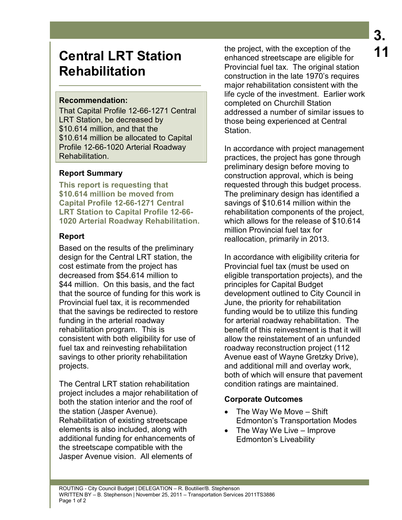# **Central LRT Station Rehabilitation**

## **Recommendation:**

That Capital Profile 12-66-1271 Central LRT Station, be decreased by \$10.614 million, and that the \$10.614 million be allocated to Capital Profile 12-66-1020 Arterial Roadway Rehabilitation.

## **Report Summary**

**This report is requesting that \$10.614 million be moved from Capital Profile 12-66-1271 Central LRT Station to Capital Profile 12-66- 1020 Arterial Roadway Rehabilitation.** 

## **Report**

Based on the results of the preliminary design for the Central LRT station, the cost estimate from the project has decreased from \$54.614 million to \$44 million. On this basis, and the fact that the source of funding for this work is Provincial fuel tax, it is recommended that the savings be redirected to restore funding in the arterial roadway rehabilitation program. This is consistent with both eligibility for use of fuel tax and reinvesting rehabilitation savings to other priority rehabilitation projects.

The Central LRT station rehabilitation project includes a major rehabilitation of both the station interior and the roof of the station (Jasper Avenue). Rehabilitation of existing streetscape elements is also included, along with additional funding for enhancements of the streetscape compatible with the Jasper Avenue vision. All elements of

the project, with the exception of the enhanced streetscape are eligible for Provincial fuel tax. The original station construction in the late 1970's requires major rehabilitation consistent with the life cycle of the investment. Earlier work completed on Churchill Station addressed a number of similar issues to those being experienced at Central Station.

In accordance with project management practices, the project has gone through preliminary design before moving to construction approval, which is being requested through this budget process. The preliminary design has identified a savings of \$10.614 million within the rehabilitation components of the project, which allows for the release of \$10.614 million Provincial fuel tax for reallocation, primarily in 2013.

In accordance with eligibility criteria for Provincial fuel tax (must be used on eligible transportation projects), and the principles for Capital Budget development outlined to City Council in June, the priority for rehabilitation funding would be to utilize this funding for arterial roadway rehabilitation. The benefit of this reinvestment is that it will allow the reinstatement of an unfunded roadway reconstruction project (112 Avenue east of Wayne Gretzky Drive), and additional mill and overlay work, both of which will ensure that pavement condition ratings are maintained.

## **Corporate Outcomes**

- The Way We Move Shift Edmonton's Transportation Modes
- The Way We Live Improve Edmonton's Liveability